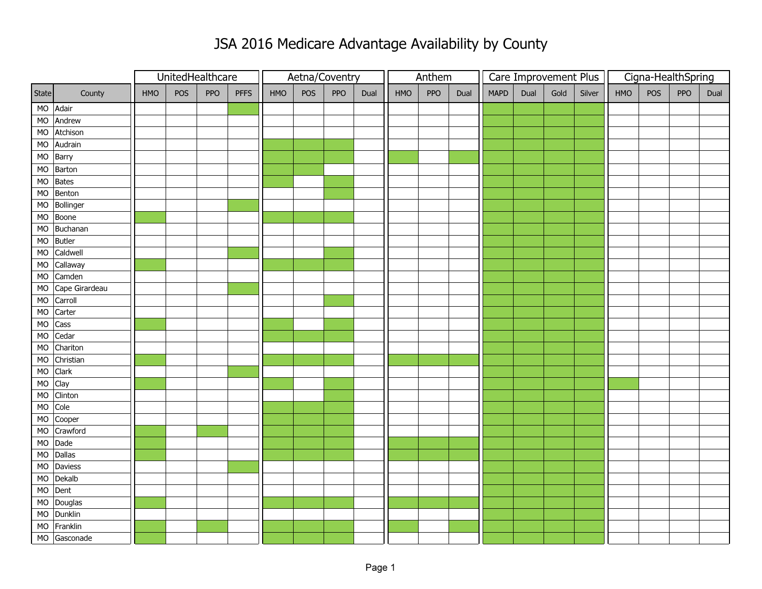|       |                   |     | UnitedHealthcare |            |             | Aetna/Coventry |     |     |      |     | Anthem |      |             |      |      | Care Improvement Plus | Cigna-HealthSpring |     |     |      |  |
|-------|-------------------|-----|------------------|------------|-------------|----------------|-----|-----|------|-----|--------|------|-------------|------|------|-----------------------|--------------------|-----|-----|------|--|
| State | County            | HMO | POS              | <b>PPO</b> | <b>PFFS</b> | HMO            | POS | PPO | Dual | HMO | PPO    | Dual | <b>MAPD</b> | Dual | Gold | Silver                | HMO                | POS | PPO | Dual |  |
|       | MO Adair          |     |                  |            |             |                |     |     |      |     |        |      |             |      |      |                       |                    |     |     |      |  |
|       | MO Andrew         |     |                  |            |             |                |     |     |      |     |        |      |             |      |      |                       |                    |     |     |      |  |
|       | MO Atchison       |     |                  |            |             |                |     |     |      |     |        |      |             |      |      |                       |                    |     |     |      |  |
|       | MO Audrain        |     |                  |            |             |                |     |     |      |     |        |      |             |      |      |                       |                    |     |     |      |  |
|       | MO Barry          |     |                  |            |             |                |     |     |      |     |        |      |             |      |      |                       |                    |     |     |      |  |
|       | MO Barton         |     |                  |            |             |                |     |     |      |     |        |      |             |      |      |                       |                    |     |     |      |  |
|       | MO Bates          |     |                  |            |             |                |     |     |      |     |        |      |             |      |      |                       |                    |     |     |      |  |
|       | MO Benton         |     |                  |            |             |                |     |     |      |     |        |      |             |      |      |                       |                    |     |     |      |  |
|       | MO Bollinger      |     |                  |            |             |                |     |     |      |     |        |      |             |      |      |                       |                    |     |     |      |  |
|       | MO Boone          |     |                  |            |             |                |     |     |      |     |        |      |             |      |      |                       |                    |     |     |      |  |
|       | MO Buchanan       |     |                  |            |             |                |     |     |      |     |        |      |             |      |      |                       |                    |     |     |      |  |
|       | MO Butler         |     |                  |            |             |                |     |     |      |     |        |      |             |      |      |                       |                    |     |     |      |  |
|       | MO Caldwell       |     |                  |            |             |                |     |     |      |     |        |      |             |      |      |                       |                    |     |     |      |  |
|       | MO Callaway       |     |                  |            |             |                |     |     |      |     |        |      |             |      |      |                       |                    |     |     |      |  |
|       | MO Camden         |     |                  |            |             |                |     |     |      |     |        |      |             |      |      |                       |                    |     |     |      |  |
|       | MO Cape Girardeau |     |                  |            |             |                |     |     |      |     |        |      |             |      |      |                       |                    |     |     |      |  |
|       | MO Carroll        |     |                  |            |             |                |     |     |      |     |        |      |             |      |      |                       |                    |     |     |      |  |
| MO    | Carter            |     |                  |            |             |                |     |     |      |     |        |      |             |      |      |                       |                    |     |     |      |  |
|       | MO Cass           |     |                  |            |             |                |     |     |      |     |        |      |             |      |      |                       |                    |     |     |      |  |
|       | MO Cedar          |     |                  |            |             |                |     |     |      |     |        |      |             |      |      |                       |                    |     |     |      |  |
|       | MO Chariton       |     |                  |            |             |                |     |     |      |     |        |      |             |      |      |                       |                    |     |     |      |  |
|       | MO Christian      |     |                  |            |             |                |     |     |      |     |        |      |             |      |      |                       |                    |     |     |      |  |
|       | MO Clark          |     |                  |            |             |                |     |     |      |     |        |      |             |      |      |                       |                    |     |     |      |  |
|       | MO Clay           |     |                  |            |             |                |     |     |      |     |        |      |             |      |      |                       |                    |     |     |      |  |
| MO    | Clinton           |     |                  |            |             |                |     |     |      |     |        |      |             |      |      |                       |                    |     |     |      |  |
|       | MO Cole           |     |                  |            |             |                |     |     |      |     |        |      |             |      |      |                       |                    |     |     |      |  |
|       | MO Cooper         |     |                  |            |             |                |     |     |      |     |        |      |             |      |      |                       |                    |     |     |      |  |
|       | MO Crawford       |     |                  |            |             |                |     |     |      |     |        |      |             |      |      |                       |                    |     |     |      |  |
|       | MO Dade           |     |                  |            |             |                |     |     |      |     |        |      |             |      |      |                       |                    |     |     |      |  |
|       | MO Dallas         |     |                  |            |             |                |     |     |      |     |        |      |             |      |      |                       |                    |     |     |      |  |
|       | MO Daviess        |     |                  |            |             |                |     |     |      |     |        |      |             |      |      |                       |                    |     |     |      |  |
|       | MO Dekalb         |     |                  |            |             |                |     |     |      |     |        |      |             |      |      |                       |                    |     |     |      |  |
|       | MO Dent           |     |                  |            |             |                |     |     |      |     |        |      |             |      |      |                       |                    |     |     |      |  |
|       | MO Douglas        |     |                  |            |             |                |     |     |      |     |        |      |             |      |      |                       |                    |     |     |      |  |
|       | MO Dunklin        |     |                  |            |             |                |     |     |      |     |        |      |             |      |      |                       |                    |     |     |      |  |
|       | MO Franklin       |     |                  |            |             |                |     |     |      |     |        |      |             |      |      |                       |                    |     |     |      |  |
|       | MO Gasconade      |     |                  |            |             |                |     |     |      |     |        |      |             |      |      |                       |                    |     |     |      |  |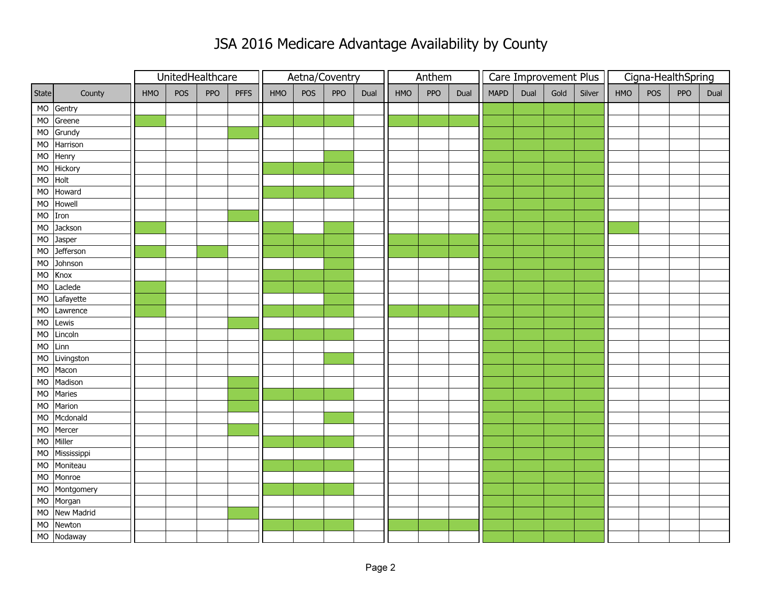|           |             |     | UnitedHealthcare |     |             |     |     | Aetna/Coventry |      |     | Anthem |      |             | Care Improvement Plus |      |        | Cigna-HealthSpring |     |            |      |  |
|-----------|-------------|-----|------------------|-----|-------------|-----|-----|----------------|------|-----|--------|------|-------------|-----------------------|------|--------|--------------------|-----|------------|------|--|
| State     | County      | HMO | POS              | PPO | <b>PFFS</b> | HMO | POS | PPO            | Dual | HMO | PPO    | Dual | <b>MAPD</b> | Dual                  | Gold | Silver | HMO                | POS | <b>PPO</b> | Dual |  |
|           | MO Gentry   |     |                  |     |             |     |     |                |      |     |        |      |             |                       |      |        |                    |     |            |      |  |
| MO        | Greene      |     |                  |     |             |     |     |                |      |     |        |      |             |                       |      |        |                    |     |            |      |  |
|           | MO Grundy   |     |                  |     |             |     |     |                |      |     |        |      |             |                       |      |        |                    |     |            |      |  |
| MO        | Harrison    |     |                  |     |             |     |     |                |      |     |        |      |             |                       |      |        |                    |     |            |      |  |
| <b>MO</b> | Henry       |     |                  |     |             |     |     |                |      |     |        |      |             |                       |      |        |                    |     |            |      |  |
| MO        | Hickory     |     |                  |     |             |     |     |                |      |     |        |      |             |                       |      |        |                    |     |            |      |  |
| <b>MO</b> | Holt        |     |                  |     |             |     |     |                |      |     |        |      |             |                       |      |        |                    |     |            |      |  |
| MO        | Howard      |     |                  |     |             |     |     |                |      |     |        |      |             |                       |      |        |                    |     |            |      |  |
| <b>MO</b> | Howell      |     |                  |     |             |     |     |                |      |     |        |      |             |                       |      |        |                    |     |            |      |  |
| MO Iron   |             |     |                  |     |             |     |     |                |      |     |        |      |             |                       |      |        |                    |     |            |      |  |
| MO        | Jackson     |     |                  |     |             |     |     |                |      |     |        |      |             |                       |      |        |                    |     |            |      |  |
| MO        | Jasper      |     |                  |     |             |     |     |                |      |     |        |      |             |                       |      |        |                    |     |            |      |  |
| <b>MO</b> | Jefferson   |     |                  |     |             |     |     |                |      |     |        |      |             |                       |      |        |                    |     |            |      |  |
| MO        | Johnson     |     |                  |     |             |     |     |                |      |     |        |      |             |                       |      |        |                    |     |            |      |  |
| MO        | Knox        |     |                  |     |             |     |     |                |      |     |        |      |             |                       |      |        |                    |     |            |      |  |
| MO        | Laclede     |     |                  |     |             |     |     |                |      |     |        |      |             |                       |      |        |                    |     |            |      |  |
| <b>MO</b> | Lafayette   |     |                  |     |             |     |     |                |      |     |        |      |             |                       |      |        |                    |     |            |      |  |
| MO        | Lawrence    |     |                  |     |             |     |     |                |      |     |        |      |             |                       |      |        |                    |     |            |      |  |
| MO        | Lewis       |     |                  |     |             |     |     |                |      |     |        |      |             |                       |      |        |                    |     |            |      |  |
| MO        | Lincoln     |     |                  |     |             |     |     |                |      |     |        |      |             |                       |      |        |                    |     |            |      |  |
| MO        | Linn        |     |                  |     |             |     |     |                |      |     |        |      |             |                       |      |        |                    |     |            |      |  |
| <b>MO</b> | Livingston  |     |                  |     |             |     |     |                |      |     |        |      |             |                       |      |        |                    |     |            |      |  |
| MO        | Macon       |     |                  |     |             |     |     |                |      |     |        |      |             |                       |      |        |                    |     |            |      |  |
| MO        | Madison     |     |                  |     |             |     |     |                |      |     |        |      |             |                       |      |        |                    |     |            |      |  |
| MO        | Maries      |     |                  |     |             |     |     |                |      |     |        |      |             |                       |      |        |                    |     |            |      |  |
| MO        | Marion      |     |                  |     |             |     |     |                |      |     |        |      |             |                       |      |        |                    |     |            |      |  |
| MO        | Mcdonald    |     |                  |     |             |     |     |                |      |     |        |      |             |                       |      |        |                    |     |            |      |  |
| MO        | Mercer      |     |                  |     |             |     |     |                |      |     |        |      |             |                       |      |        |                    |     |            |      |  |
| MO        | Miller      |     |                  |     |             |     |     |                |      |     |        |      |             |                       |      |        |                    |     |            |      |  |
| <b>MO</b> | Mississippi |     |                  |     |             |     |     |                |      |     |        |      |             |                       |      |        |                    |     |            |      |  |
| <b>MO</b> | Moniteau    |     |                  |     |             |     |     |                |      |     |        |      |             |                       |      |        |                    |     |            |      |  |
| MO        | Monroe      |     |                  |     |             |     |     |                |      |     |        |      |             |                       |      |        |                    |     |            |      |  |
| <b>MO</b> | Montgomery  |     |                  |     |             |     |     |                |      |     |        |      |             |                       |      |        |                    |     |            |      |  |
|           | MO Morgan   |     |                  |     |             |     |     |                |      |     |        |      |             |                       |      |        |                    |     |            |      |  |
| MO        | New Madrid  |     |                  |     |             |     |     |                |      |     |        |      |             |                       |      |        |                    |     |            |      |  |
| MO        | Newton      |     |                  |     |             |     |     |                |      |     |        |      |             |                       |      |        |                    |     |            |      |  |
|           | MO Nodaway  |     |                  |     |             |     |     |                |      |     |        |      |             |                       |      |        |                    |     |            |      |  |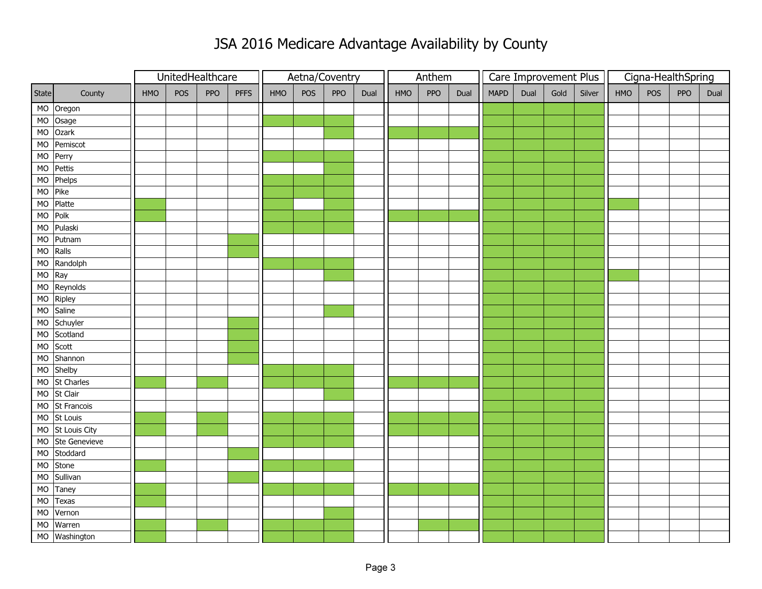|              |                                |     | UnitedHealthcare |     |             | Aetna/Coventry |     |             | Anthem |     |     | Care Improvement Plus |             |      | Cigna-HealthSpring |        |     |     |            |      |
|--------------|--------------------------------|-----|------------------|-----|-------------|----------------|-----|-------------|--------|-----|-----|-----------------------|-------------|------|--------------------|--------|-----|-----|------------|------|
| <b>State</b> | County                         | HMO | POS              | PPO | <b>PFFS</b> | HMO            | POS | PPO<br>Dual |        | HMO | PPO | Dual                  | <b>MAPD</b> | Dual | Gold               | Silver | HMO | POS | <b>PPO</b> | Dual |
|              | MO Oregon                      |     |                  |     |             |                |     |             |        |     |     |                       |             |      |                    |        |     |     |            |      |
|              | MO Osage                       |     |                  |     |             |                |     |             |        |     |     |                       |             |      |                    |        |     |     |            |      |
|              | MO Ozark                       |     |                  |     |             |                |     |             |        |     |     |                       |             |      |                    |        |     |     |            |      |
| MO           | Pemiscot                       |     |                  |     |             |                |     |             |        |     |     |                       |             |      |                    |        |     |     |            |      |
| MO           | Perry                          |     |                  |     |             |                |     |             |        |     |     |                       |             |      |                    |        |     |     |            |      |
| MO           | Pettis                         |     |                  |     |             |                |     |             |        |     |     |                       |             |      |                    |        |     |     |            |      |
| MO           | Phelps                         |     |                  |     |             |                |     |             |        |     |     |                       |             |      |                    |        |     |     |            |      |
| MO           | Pike                           |     |                  |     |             |                |     |             |        |     |     |                       |             |      |                    |        |     |     |            |      |
| <b>MO</b>    | Platte                         |     |                  |     |             |                |     |             |        |     |     |                       |             |      |                    |        |     |     |            |      |
| MO Polk      |                                |     |                  |     |             |                |     |             |        |     |     |                       |             |      |                    |        |     |     |            |      |
| MO           | Pulaski                        |     |                  |     |             |                |     |             |        |     |     |                       |             |      |                    |        |     |     |            |      |
| MO           | Putnam                         |     |                  |     |             |                |     |             |        |     |     |                       |             |      |                    |        |     |     |            |      |
| <b>MO</b>    | Ralls                          |     |                  |     |             |                |     |             |        |     |     |                       |             |      |                    |        |     |     |            |      |
|              | MO Randolph                    |     |                  |     |             |                |     |             |        |     |     |                       |             |      |                    |        |     |     |            |      |
| MO Ray       |                                |     |                  |     |             |                |     |             |        |     |     |                       |             |      |                    |        |     |     |            |      |
| MO           | Reynolds                       |     |                  |     |             |                |     |             |        |     |     |                       |             |      |                    |        |     |     |            |      |
| <b>MO</b>    | Ripley                         |     |                  |     |             |                |     |             |        |     |     |                       |             |      |                    |        |     |     |            |      |
| MO           | Saline                         |     |                  |     |             |                |     |             |        |     |     |                       |             |      |                    |        |     |     |            |      |
|              | MO Schuyler                    |     |                  |     |             |                |     |             |        |     |     |                       |             |      |                    |        |     |     |            |      |
| MO           | Scotland                       |     |                  |     |             |                |     |             |        |     |     |                       |             |      |                    |        |     |     |            |      |
| MO           | Scott                          |     |                  |     |             |                |     |             |        |     |     |                       |             |      |                    |        |     |     |            |      |
| MO           | Shannon                        |     |                  |     |             |                |     |             |        |     |     |                       |             |      |                    |        |     |     |            |      |
| MO           | Shelby                         |     |                  |     |             |                |     |             |        |     |     |                       |             |      |                    |        |     |     |            |      |
| MO           | St Charles                     |     |                  |     |             |                |     |             |        |     |     |                       |             |      |                    |        |     |     |            |      |
| <b>MO</b>    | $\overline{\mathsf{St}}$ Clair |     |                  |     |             |                |     |             |        |     |     |                       |             |      |                    |        |     |     |            |      |
|              | MO St Francois                 |     |                  |     |             |                |     |             |        |     |     |                       |             |      |                    |        |     |     |            |      |
|              | MO St Louis                    |     |                  |     |             |                |     |             |        |     |     |                       |             |      |                    |        |     |     |            |      |
|              | MO St Louis City               |     |                  |     |             |                |     |             |        |     |     |                       |             |      |                    |        |     |     |            |      |
| MO           | Ste Genevieve                  |     |                  |     |             |                |     |             |        |     |     |                       |             |      |                    |        |     |     |            |      |
| MO           | Stoddard                       |     |                  |     |             |                |     |             |        |     |     |                       |             |      |                    |        |     |     |            |      |
| MO           | Stone                          |     |                  |     |             |                |     |             |        |     |     |                       |             |      |                    |        |     |     |            |      |
| MO           | Sullivan                       |     |                  |     |             |                |     |             |        |     |     |                       |             |      |                    |        |     |     |            |      |
| <b>MO</b>    | Taney                          |     |                  |     |             |                |     |             |        |     |     |                       |             |      |                    |        |     |     |            |      |
| <b>MO</b>    | Texas                          |     |                  |     |             |                |     |             |        |     |     |                       |             |      |                    |        |     |     |            |      |
| MO           | Vernon                         |     |                  |     |             |                |     |             |        |     |     |                       |             |      |                    |        |     |     |            |      |
| MO           | Warren                         |     |                  |     |             |                |     |             |        |     |     |                       |             |      |                    |        |     |     |            |      |
|              | MO Washington                  |     |                  |     |             |                |     |             |        |     |     |                       |             |      |                    |        |     |     |            |      |